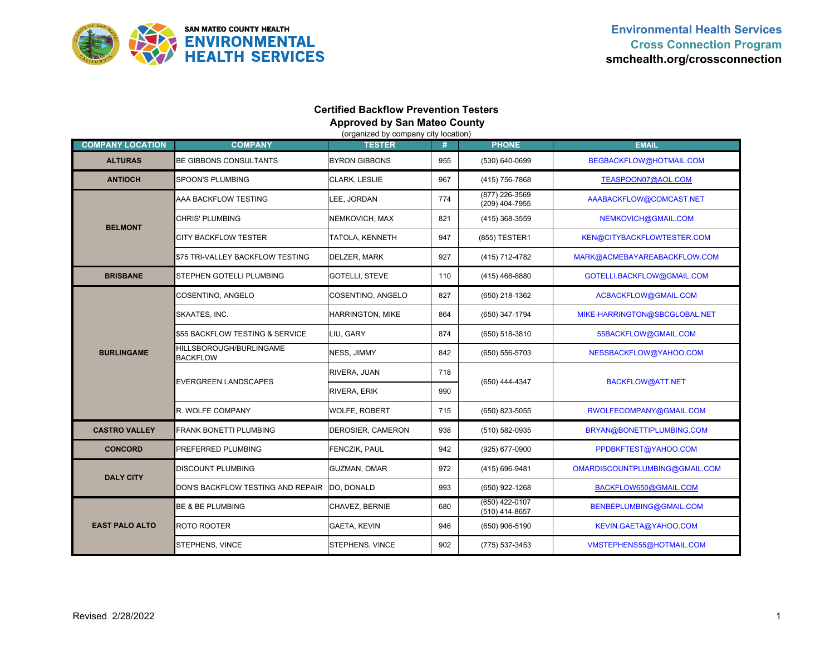

## **Certified Backflow Prevention Testers Approved by San Mateo County**

| <b>COMPANY LOCATION</b> | <b>COMPANY</b>                             | <b>TESTER</b>         | #   | <b>PHONE</b>                     | <b>EMAIL</b>                   |
|-------------------------|--------------------------------------------|-----------------------|-----|----------------------------------|--------------------------------|
| <b>ALTURAS</b>          | <b>BE GIBBONS CONSULTANTS</b>              | <b>BYRON GIBBONS</b>  | 955 | (530) 640-0699                   | BEGBACKFLOW@HOTMAIL.COM        |
| <b>ANTIOCH</b>          | <b>SPOON'S PLUMBING</b>                    | CLARK, LESLIE         | 967 | (415) 756-7868                   | TEASPOON07@AOL.COM             |
|                         | AAA BACKFLOW TESTING                       | LEE, JORDAN           | 774 | (877) 226-3569<br>(209) 404-7955 | AAABACKFLOW@COMCAST.NET        |
| <b>BELMONT</b>          | <b>CHRIS' PLUMBING</b>                     | NEMKOVICH, MAX        | 821 | (415) 368-3559                   | NEMKOVICH@GMAIL.COM            |
|                         | <b>CITY BACKFLOW TESTER</b>                | TATOLA, KENNETH       | 947 | (855) TESTER1                    | KEN@CITYBACKFLOWTESTER.COM     |
|                         | \$75 TRI-VALLEY BACKFLOW TESTING           | DELZER, MARK          | 927 | (415) 712-4782                   | MARK@ACMEBAYAREABACKFLOW.COM   |
| <b>BRISBANE</b>         | STEPHEN GOTELLI PLUMBING                   | <b>GOTELLI, STEVE</b> | 110 | (415) 468-8880                   | GOTELLI.BACKFLOW@GMAIL.COM     |
|                         | COSENTINO, ANGELO                          | COSENTINO, ANGELO     | 827 | (650) 218-1362                   | ACBACKFLOW@GMAIL.COM           |
| <b>BURLINGAME</b>       | SKAATES, INC.                              | HARRINGTON, MIKE      | 864 | (650) 347-1794                   | MIKE-HARRINGTON@SBCGLOBAL.NET  |
|                         | \$55 BACKFLOW TESTING & SERVICE            | LIU, GARY             | 874 | (650) 518-3810                   | 55BACKFLOW@GMAIL.COM           |
|                         | HILLSBOROUGH/BURLINGAME<br><b>BACKFLOW</b> | NESS, JIMMY           | 842 | (650) 556-5703                   | NESSBACKFLOW@YAHOO.COM         |
|                         | <b>EVERGREEN LANDSCAPES</b>                | RIVERA, JUAN          | 718 | (650) 444-4347                   | BACKFLOW@ATT.NET               |
|                         |                                            | RIVERA, ERIK          | 990 |                                  |                                |
|                         | R. WOLFE COMPANY                           | <b>WOLFE, ROBERT</b>  | 715 | (650) 823-5055                   | RWOLFECOMPANY@GMAIL.COM        |
| <b>CASTRO VALLEY</b>    | FRANK BONETTI PLUMBING                     | DEROSIER, CAMERON     | 938 | (510) 582-0935                   | BRYAN@BONETTIPLUMBING.COM      |
| <b>CONCORD</b>          | PREFERRED PLUMBING                         | FENCZIK, PAUL         | 942 | (925) 677-0900                   | PPDBKFTEST@YAHOO.COM           |
| <b>DALY CITY</b>        | <b>DISCOUNT PLUMBING</b>                   | GUZMAN, OMAR          | 972 | (415) 696-9481                   | OMARDISCOUNTPLUMBING@GMAIL.COM |
|                         | DON'S BACKFLOW TESTING AND REPAIR          | DO, DONALD            | 993 | (650) 922-1268                   | BACKFLOW650@GMAIL.COM          |
| <b>EAST PALO ALTO</b>   | <b>BE &amp; BE PLUMBING</b>                | CHAVEZ, BERNIE        | 680 | (650) 422-0107<br>(510) 414-8657 | BENBEPLUMBING@GMAIL.COM        |
|                         | ROTO ROOTER                                | <b>GAETA, KEVIN</b>   | 946 | (650) 906-5190                   | KEVIN.GAETA@YAHOO.COM          |
|                         | STEPHENS, VINCE                            | STEPHENS, VINCE       | 902 | (775) 537-3453                   | VMSTEPHENS55@HOTMAIL.COM       |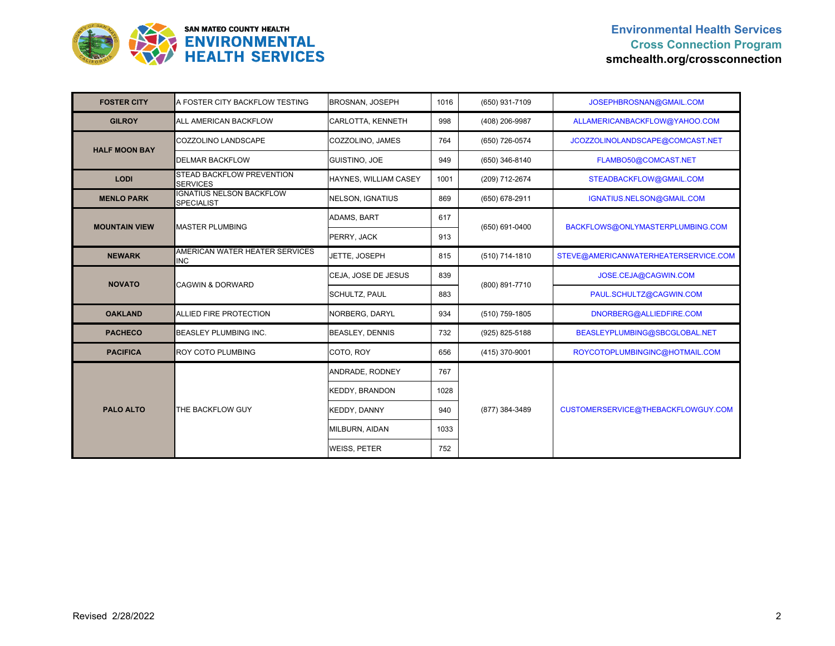

| <b>FOSTER CITY</b>   | A FOSTER CITY BACKFLOW TESTING                      | <b>BROSNAN, JOSEPH</b>  | 1016 | (650) 931-7109 | JOSEPHBROSNAN@GMAIL.COM              |
|----------------------|-----------------------------------------------------|-------------------------|------|----------------|--------------------------------------|
| <b>GILROY</b>        | ALL AMERICAN BACKFLOW                               | CARLOTTA, KENNETH       | 998  | (408) 206-9987 | ALLAMERICANBACKFLOW@YAHOO.COM        |
|                      | COZZOLINO LANDSCAPE                                 | COZZOLINO, JAMES        | 764  | (650) 726-0574 | JCOZZOLINOLANDSCAPE@COMCAST.NET      |
| <b>HALF MOON BAY</b> | <b>DELMAR BACKFLOW</b>                              | <b>GUISTINO, JOE</b>    | 949  | (650) 346-8140 | FLAMBO50@COMCAST.NET                 |
| <b>LODI</b>          | <b>STEAD BACKFLOW PREVENTION</b><br><b>SERVICES</b> | HAYNES, WILLIAM CASEY   | 1001 | (209) 712-2674 | STEADBACKFLOW@GMAIL.COM              |
| <b>MENLO PARK</b>    | <b>IGNATIUS NELSON BACKFLOW</b><br>SPECIALIST       | <b>NELSON, IGNATIUS</b> | 869  | (650) 678-2911 | IGNATIUS.NELSON@GMAIL.COM            |
| <b>MOUNTAIN VIEW</b> |                                                     | ADAMS, BART             | 617  | (650) 691-0400 |                                      |
|                      | <b>MASTER PLUMBING</b>                              | PERRY, JACK             | 913  |                | BACKFLOWS@ONLYMASTERPLUMBING.COM     |
| <b>NEWARK</b>        | AMERICAN WATER HEATER SERVICES<br><b>INC</b>        | JETTE, JOSEPH           | 815  | (510) 714-1810 | STEVE@AMERICANWATERHEATERSERVICE.COM |
| <b>NOVATO</b>        | <b>CAGWIN &amp; DORWARD</b>                         | CEJA, JOSE DE JESUS     | 839  | (800) 891-7710 | JOSE.CEJA@CAGWIN.COM                 |
|                      |                                                     | <b>SCHULTZ, PAUL</b>    | 883  |                | PAUL.SCHULTZ@CAGWIN.COM              |
| <b>OAKLAND</b>       | ALLIED FIRE PROTECTION                              | NORBERG, DARYL          | 934  | (510) 759-1805 | DNORBERG@ALLIEDFIRE.COM              |
| <b>PACHECO</b>       | <b>BEASLEY PLUMBING INC.</b>                        | <b>BEASLEY, DENNIS</b>  | 732  | (925) 825-5188 | BEASLEYPLUMBING@SBCGLOBAL.NET        |
| <b>PACIFICA</b>      | ROY COTO PLUMBING                                   | COTO, ROY               | 656  | (415) 370-9001 | ROYCOTOPLUMBINGINC@HOTMAIL.COM       |
| <b>PALO ALTO</b>     | THE BACKFLOW GUY                                    | ANDRADE, RODNEY         | 767  | (877) 384-3489 | CUSTOMERSERVICE@THEBACKFLOWGUY.COM   |
|                      |                                                     | <b>KEDDY, BRANDON</b>   | 1028 |                |                                      |
|                      |                                                     | <b>KEDDY, DANNY</b>     | 940  |                |                                      |
|                      |                                                     | MILBURN, AIDAN          | 1033 |                |                                      |
|                      |                                                     | <b>WEISS, PETER</b>     | 752  |                |                                      |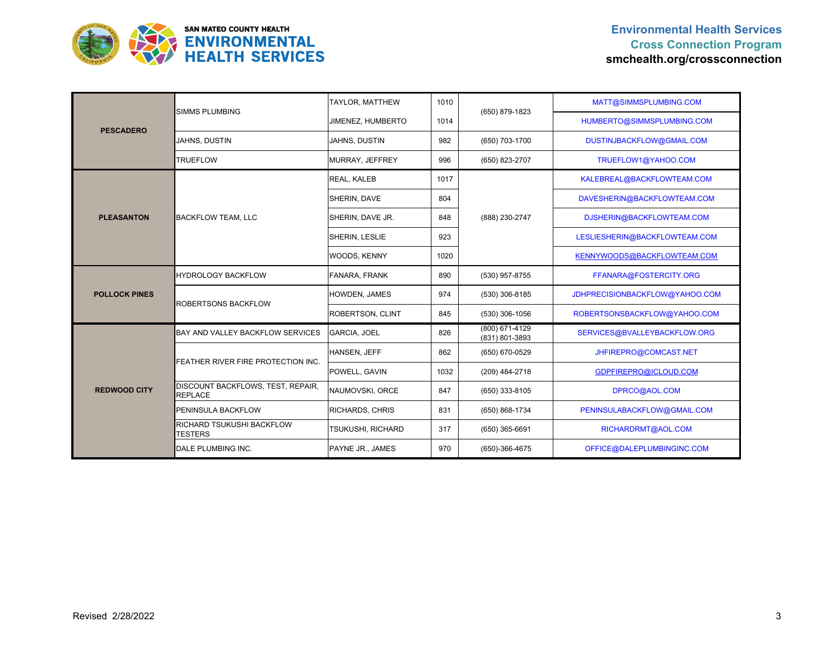

| <b>PESCADERO</b>     | <b>SIMMS PLUMBING</b>                               | TAYLOR, MATTHEW          | 1010 | (650) 879-1823                     | MATT@SIMMSPLUMBING.COM         |
|----------------------|-----------------------------------------------------|--------------------------|------|------------------------------------|--------------------------------|
|                      |                                                     | JIMENEZ, HUMBERTO        | 1014 |                                    | HUMBERTO@SIMMSPLUMBING.COM     |
|                      | <b>JAHNS, DUSTIN</b>                                | JAHNS, DUSTIN            | 982  | (650) 703-1700                     | DUSTINJBACKFLOW@GMAIL.COM      |
|                      | <b>TRUEFLOW</b>                                     | MURRAY, JEFFREY          | 996  | (650) 823-2707                     | TRUEFLOW1@YAHOO.COM            |
|                      |                                                     | <b>REAL, KALEB</b>       | 1017 |                                    | KALEBREAL@BACKFLOWTEAM.COM     |
|                      |                                                     | SHERIN, DAVE             | 804  |                                    | DAVESHERIN@BACKFLOWTEAM.COM    |
| <b>PLEASANTON</b>    | <b>BACKFLOW TEAM, LLC</b>                           | SHERIN, DAVE JR.         | 848  | (888) 230-2747                     | DJSHERIN@BACKFLOWTEAM.COM      |
|                      |                                                     | SHERIN, LESLIE           | 923  |                                    | LESLIESHERIN@BACKFLOWTEAM.COM  |
|                      |                                                     | WOODS, KENNY             | 1020 |                                    | KENNYWOODS@BACKFLOWTEAM.COM    |
|                      | <b>HYDROLOGY BACKFLOW</b>                           | FANARA, FRANK            | 890  | (530) 957-8755                     | FFANARA@FOSTERCITY.ORG         |
| <b>POLLOCK PINES</b> | <b>ROBERTSONS BACKFLOW</b>                          | HOWDEN, JAMES            | 974  | (530) 306-8185                     | JDHPRECISIONBACKFLOW@YAHOO.COM |
|                      |                                                     | ROBERTSON, CLINT         | 845  | (530) 306-1056                     | ROBERTSONSBACKFLOW@YAHOO.COM   |
|                      | BAY AND VALLEY BACKFLOW SERVICES                    | <b>GARCIA, JOEL</b>      | 826  | $(800)$ 671-4129<br>(831) 801-3893 | SERVICES@BVALLEYBACKFLOW.ORG   |
|                      | <b>FEATHER RIVER FIRE PROTECTION INC.</b>           | HANSEN, JEFF             | 862  | (650) 670-0529                     | JHFIREPRO@COMCAST.NET          |
| <b>REDWOOD CITY</b>  |                                                     | POWELL, GAVIN            | 1032 | (209) 484-2718                     | GDPFIREPRO@ICLOUD.COM          |
|                      | DISCOUNT BACKFLOWS, TEST, REPAIR,<br><b>REPLACE</b> | NAUMOVSKI, ORCE          | 847  | (650) 333-8105                     | DPRCO@AOL.COM                  |
|                      | <b>PENINSULA BACKFLOW</b>                           | RICHARDS, CHRIS          | 831  | (650) 868-1734                     | PENINSULABACKFLOW@GMAIL.COM    |
|                      | RICHARD TSUKUSHI BACKFLOW<br><b>TESTERS</b>         | <b>TSUKUSHI, RICHARD</b> | 317  | (650) 365-6691                     | RICHARDRMT@AOL.COM             |
|                      | DALE PLUMBING INC.                                  | PAYNE JR., JAMES         | 970  | (650)-366-4675                     | OFFICE@DALEPLUMBINGINC.COM     |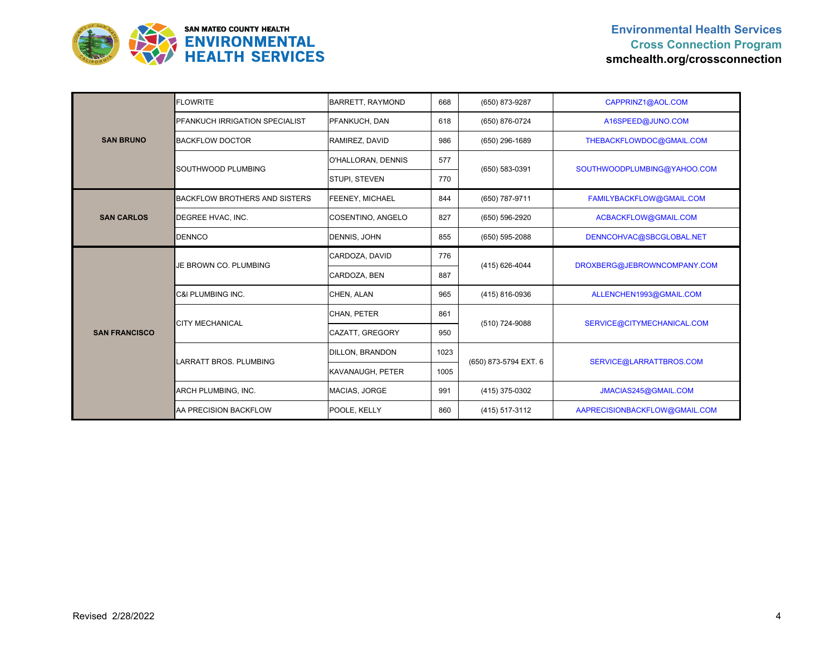

| <b>SAN BRUNO</b>     | <b>FLOWRITE</b>                | <b>BARRETT, RAYMOND</b> | 668  | (650) 873-9287        | CAPPRINZ1@AOL.COM             |
|----------------------|--------------------------------|-------------------------|------|-----------------------|-------------------------------|
|                      | PFANKUCH IRRIGATION SPECIALIST | PFANKUCH, DAN           | 618  | (650) 876-0724        | A16SPEED@JUNO.COM             |
|                      | <b>BACKFLOW DOCTOR</b>         | RAMIREZ, DAVID          | 986  | (650) 296-1689        | THEBACKFLOWDOC@GMAIL.COM      |
|                      |                                | O'HALLORAN, DENNIS      | 577  |                       | SOUTHWOODPLUMBING@YAHOO.COM   |
|                      | SOUTHWOOD PLUMBING             | STUPI, STEVEN           | 770  | (650) 583-0391        |                               |
|                      | BACKFLOW BROTHERS AND SISTERS  | FEENEY, MICHAEL         | 844  | (650) 787-9711        | FAMILYBACKFLOW@GMAIL.COM      |
| <b>SAN CARLOS</b>    | DEGREE HVAC, INC.              | COSENTINO, ANGELO       | 827  | (650) 596-2920        | ACBACKFLOW@GMAIL.COM          |
|                      | <b>DENNCO</b>                  | DENNIS, JOHN            | 855  | (650) 595-2088        | DENNCOHVAC@SBCGLOBAL.NET      |
|                      | JE BROWN CO. PLUMBING          | CARDOZA, DAVID          | 776  | (415) 626-4044        | DROXBERG@JEBROWNCOMPANY.COM   |
|                      |                                | CARDOZA, BEN            | 887  |                       |                               |
|                      | C&I PLUMBING INC.              | CHEN, ALAN              | 965  | (415) 816-0936        | ALLENCHEN1993@GMAIL.COM       |
|                      | <b>CITY MECHANICAL</b>         | CHAN, PETER             | 861  | (510) 724-9088        | SERVICE@CITYMECHANICAL.COM    |
| <b>SAN FRANCISCO</b> |                                | CAZATT, GREGORY         | 950  |                       |                               |
|                      | <b>LARRATT BROS, PLUMBING</b>  | DILLON, BRANDON         | 1023 | (650) 873-5794 EXT. 6 | SERVICE@LARRATTBROS.COM       |
|                      |                                | KAVANAUGH, PETER        | 1005 |                       |                               |
|                      | ARCH PLUMBING, INC.            | MACIAS, JORGE           | 991  | (415) 375-0302        | JMACIAS245@GMAIL.COM          |
|                      | AA PRECISION BACKFLOW          | POOLE, KELLY            | 860  | (415) 517-3112        | AAPRECISIONBACKFLOW@GMAIL.COM |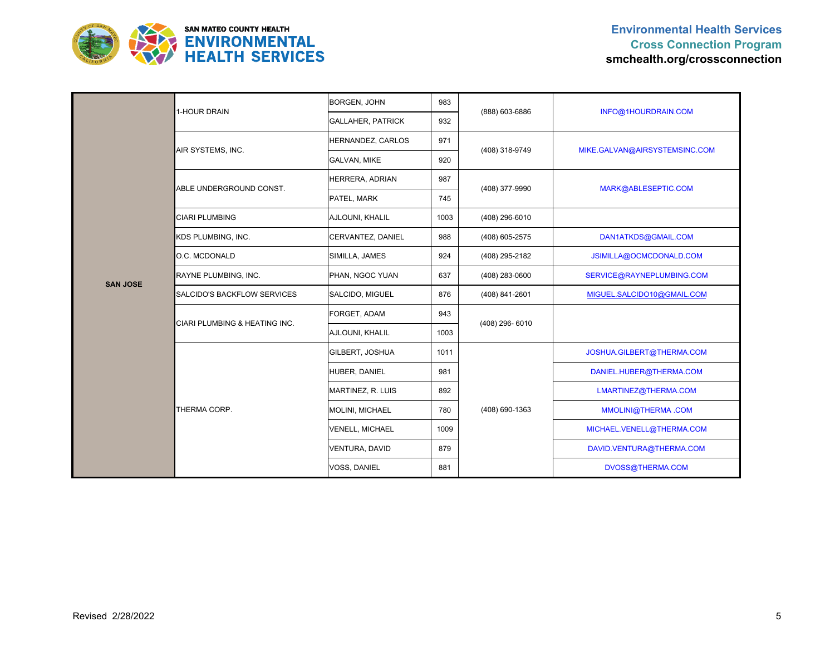

|                 | 1-HOUR DRAIN                   | <b>BORGEN, JOHN</b>      | 983  | (888) 603-6886 | INFO@1HOURDRAIN.COM           |
|-----------------|--------------------------------|--------------------------|------|----------------|-------------------------------|
|                 |                                | <b>GALLAHER, PATRICK</b> | 932  |                |                               |
|                 | AIR SYSTEMS, INC.              | HERNANDEZ, CARLOS        | 971  | (408) 318-9749 | MIKE.GALVAN@AIRSYSTEMSINC.COM |
|                 |                                | <b>GALVAN, MIKE</b>      | 920  |                |                               |
|                 | ABLE UNDERGROUND CONST.        | HERRERA, ADRIAN          | 987  |                | MARK@ABLESEPTIC.COM           |
|                 |                                | PATEL, MARK              | 745  | (408) 377-9990 |                               |
|                 | <b>CIARI PLUMBING</b>          | AJLOUNI, KHALIL          | 1003 | (408) 296-6010 |                               |
|                 | KDS PLUMBING, INC.             | CERVANTEZ, DANIEL        | 988  | (408) 605-2575 | DAN1ATKDS@GMAIL.COM           |
| <b>SAN JOSE</b> | O.C. MCDONALD                  | SIMILLA, JAMES           | 924  | (408) 295-2182 | JSIMILLA@OCMCDONALD.COM       |
|                 | RAYNE PLUMBING, INC.           | PHAN, NGOC YUAN          | 637  | (408) 283-0600 | SERVICE@RAYNEPLUMBING.COM     |
|                 | SALCIDO'S BACKFLOW SERVICES    | SALCIDO, MIGUEL          | 876  | (408) 841-2601 | MIGUEL.SALCIDO10@GMAIL.COM    |
|                 | ICIARI PLUMBING & HEATING INC. | FORGET, ADAM             | 943  | (408) 296-6010 |                               |
|                 |                                | AJLOUNI, KHALIL          | 1003 |                |                               |
|                 | THERMA CORP.                   | GILBERT, JOSHUA          | 1011 | (408) 690-1363 | JOSHUA.GILBERT@THERMA.COM     |
|                 |                                | HUBER, DANIEL            | 981  |                | DANIEL.HUBER@THERMA.COM       |
|                 |                                | MARTINEZ, R. LUIS        | 892  |                | LMARTINEZ@THERMA.COM          |
|                 |                                | <b>MOLINI, MICHAEL</b>   | 780  |                | MMOLINI@THERMA.COM            |
|                 |                                | <b>VENELL, MICHAEL</b>   | 1009 |                | MICHAEL.VENELL@THERMA.COM     |
|                 |                                | VENTURA, DAVID           | 879  |                | DAVID.VENTURA@THERMA.COM      |
|                 |                                | <b>VOSS, DANIEL</b>      | 881  |                | DVOSS@THERMA.COM              |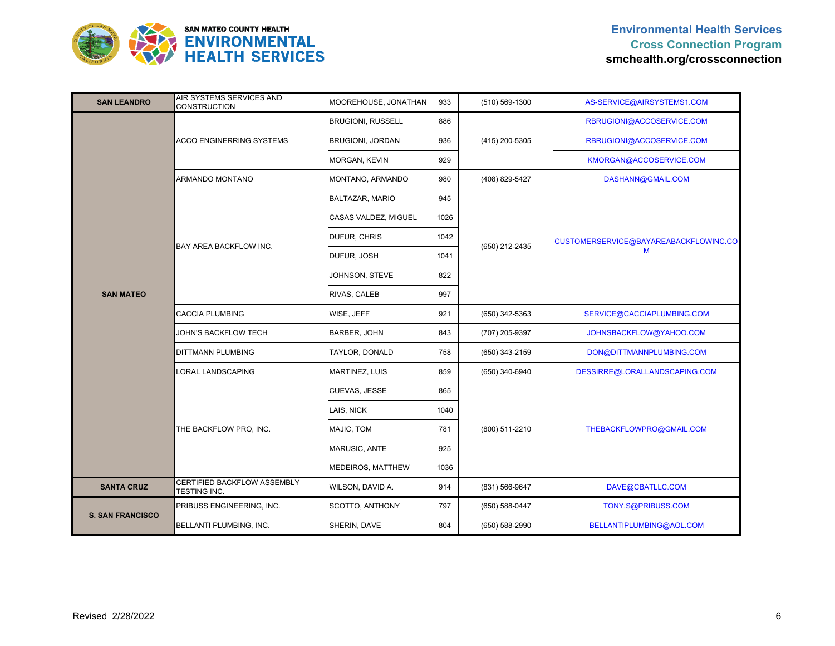

| <b>SAN LEANDRO</b>      | AIR SYSTEMS SERVICES AND<br><b>CONSTRUCTION</b> | MOOREHOUSE, JONATHAN     | 933  | (510) 569-1300 | AS-SERVICE@AIRSYSTEMS1.COM            |
|-------------------------|-------------------------------------------------|--------------------------|------|----------------|---------------------------------------|
|                         | <b>ACCO ENGINERRING SYSTEMS</b>                 | <b>BRUGIONI, RUSSELL</b> | 886  | (415) 200-5305 | RBRUGIONI@ACCOSERVICE.COM             |
|                         |                                                 | <b>BRUGIONI, JORDAN</b>  | 936  |                | RBRUGIONI@ACCOSERVICE.COM             |
|                         |                                                 | <b>MORGAN, KEVIN</b>     | 929  |                | KMORGAN@ACCOSERVICE.COM               |
|                         | ARMANDO MONTANO                                 | MONTANO, ARMANDO         | 980  | (408) 829-5427 | DASHANN@GMAIL.COM                     |
|                         |                                                 | BALTAZAR, MARIO          | 945  |                |                                       |
|                         |                                                 | CASAS VALDEZ, MIGUEL     | 1026 |                |                                       |
|                         |                                                 | DUFUR, CHRIS             | 1042 | (650) 212-2435 | CUSTOMERSERVICE@BAYAREABACKFLOWINC.CO |
|                         | BAY AREA BACKFLOW INC.                          | DUFUR, JOSH              | 1041 |                | M                                     |
| <b>SAN MATEO</b>        |                                                 | JOHNSON, STEVE           | 822  |                |                                       |
|                         |                                                 | RIVAS, CALEB             | 997  |                |                                       |
|                         | <b>CACCIA PLUMBING</b>                          | WISE, JEFF               | 921  | (650) 342-5363 | SERVICE@CACCIAPLUMBING.COM            |
|                         | JOHN'S BACKFLOW TECH                            | <b>BARBER, JOHN</b>      | 843  | (707) 205-9397 | JOHNSBACKFLOW@YAHOO.COM               |
|                         | DITTMANN PLUMBING                               | TAYLOR, DONALD           | 758  | (650) 343-2159 | DON@DITTMANNPLUMBING.COM              |
|                         | ORAL LANDSCAPING                                | MARTINEZ, LUIS           | 859  | (650) 340-6940 | DESSIRRE@LORALLANDSCAPING.COM         |
|                         | THE BACKFLOW PRO, INC.                          | CUEVAS, JESSE            | 865  | (800) 511-2210 | THEBACKFLOWPRO@GMAIL.COM              |
|                         |                                                 | LAIS, NICK               | 1040 |                |                                       |
|                         |                                                 | MAJIC, TOM               | 781  |                |                                       |
|                         |                                                 | MARUSIC, ANTE            | 925  |                |                                       |
|                         |                                                 | MEDEIROS, MATTHEW        | 1036 |                |                                       |
| <b>SANTA CRUZ</b>       | CERTIFIED BACKFLOW ASSEMBLY<br>TESTING INC.     | WILSON, DAVID A.         | 914  | (831) 566-9647 | DAVE@CBATLLC.COM                      |
| <b>S. SAN FRANCISCO</b> | PRIBUSS ENGINEERING, INC.                       | SCOTTO, ANTHONY          | 797  | (650) 588-0447 | TONY.S@PRIBUSS.COM                    |
|                         | BELLANTI PLUMBING, INC.                         | SHERIN, DAVE             | 804  | (650) 588-2990 | BELLANTIPLUMBING@AOL.COM              |